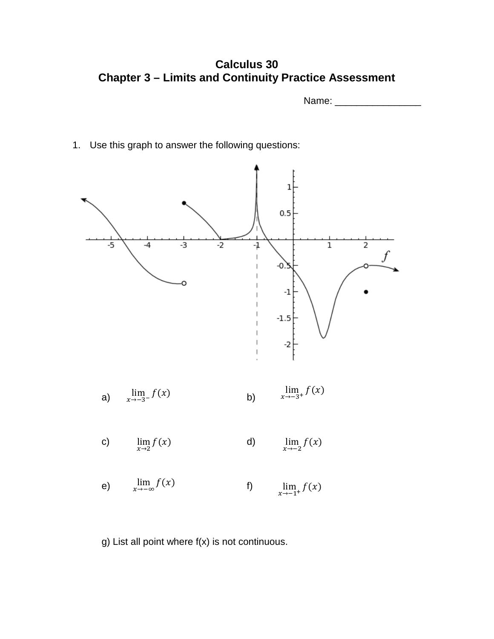**Calculus 30 Chapter 3 – Limits and Continuity Practice Assessment** 

Name: \_\_\_\_\_\_\_\_\_\_\_\_\_\_\_\_

1. Use this graph to answer the following questions:



g) List all point where f(x) is not continuous.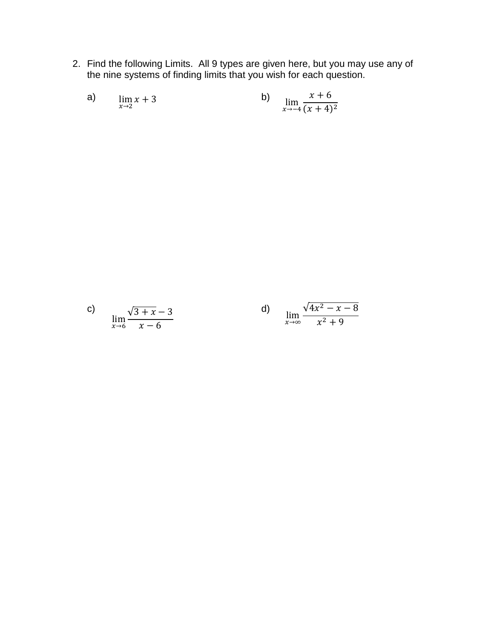2. Find the following Limits. All 9 types are given here, but you may use any of the nine systems of finding limits that you wish for each question.

a) 
$$
\lim_{x \to 2} x + 3
$$
 b)  $\lim_{x \to -4} \frac{x + 6}{(x + 4)^2}$ 

c) 
$$
\lim_{x \to 6} \frac{\sqrt{3 + x} - 3}{x - 6}
$$
 d) 
$$
\lim_{x \to \infty} \frac{\sqrt{4x^2 - x - 8}}{x^2 + 9}
$$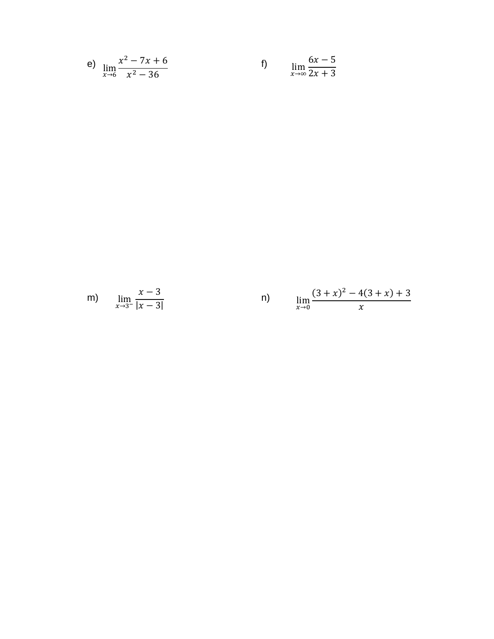e) 
$$
\lim_{x \to 6} \frac{x^2 - 7x + 6}{x^2 - 36}
$$
 f)  $\lim_{x \to \infty} \frac{6x - 5}{2x + 3}$ 

m) 
$$
\lim_{x \to 3^{-}} \frac{x-3}{|x-3|}
$$
 n)  $\lim_{x \to 0} \frac{(3+x)^2 - 4(3+x) + 3}{x}$